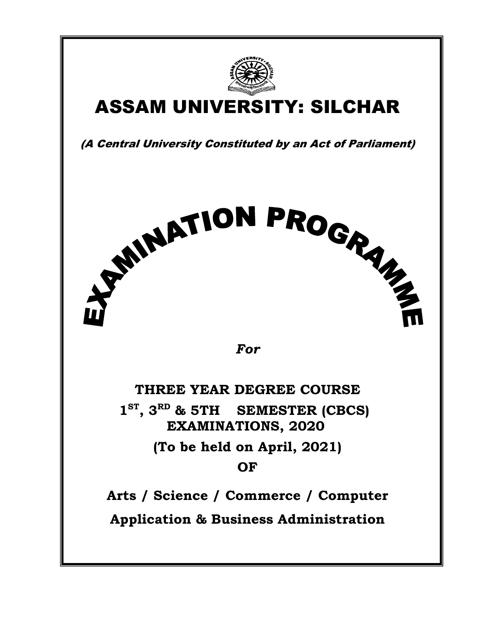

## ASSAM UNIVERSITY: SILCHAR

(A Central University Constituted by an Act of Parliament)

For

**STINATION PROGRAM** 

THREE YEAR DEGREE COURSE  $1^{ST}$ ,  $3^{RD}$  & 5TH SEMESTER (CBCS)<br>EXAMINATIONS, 2020 (To be held on April, 2021) OF

Arts / Science / Commerce / Computer Application & Business Administration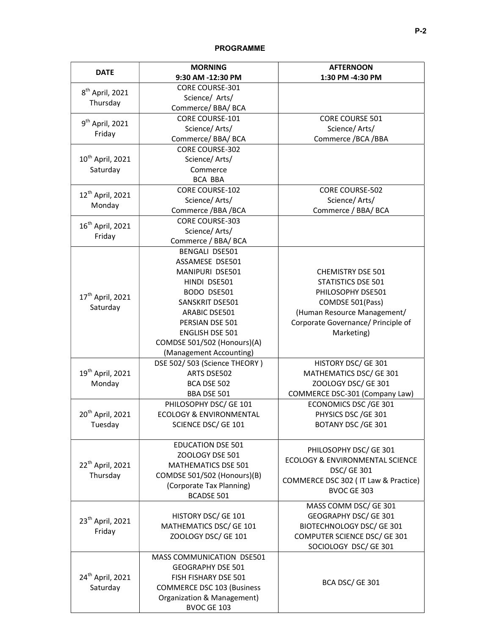|                                          | <b>MORNING</b>                    | <b>AFTERNOON</b>                      |
|------------------------------------------|-----------------------------------|---------------------------------------|
| <b>DATE</b>                              | 9:30 AM -12:30 PM                 | 1:30 PM -4:30 PM                      |
| $8th$ April, 2021<br>Thursday            | <b>CORE COURSE-301</b>            |                                       |
|                                          | Science/ Arts/                    |                                       |
|                                          | Commerce/BBA/BCA                  |                                       |
| 9 <sup>th</sup> April, 2021<br>Friday    | CORE COURSE-101                   | <b>CORE COURSE 501</b>                |
|                                          | Science/Arts/                     | Science/Arts/                         |
|                                          | Commerce/BBA/BCA                  | Commerce /BCA /BBA                    |
|                                          | <b>CORE COURSE-302</b>            |                                       |
| 10 <sup>th</sup> April, 2021<br>Saturday | Science/Arts/                     |                                       |
|                                          | Commerce                          |                                       |
|                                          | BCA BBA                           |                                       |
| 12 <sup>th</sup> April, 2021<br>Monday   | CORE COURSE-102                   | CORE COURSE-502                       |
|                                          | Science/Arts/                     | Science/Arts/                         |
|                                          | Commerce / BBA / BCA              | Commerce / BBA/ BCA                   |
|                                          | <b>CORE COURSE-303</b>            |                                       |
| 16 <sup>th</sup> April, 2021<br>Friday   | Science/Arts/                     |                                       |
|                                          | Commerce / BBA/ BCA               |                                       |
|                                          | <b>BENGALI DSE501</b>             |                                       |
|                                          | ASSAMESE DSE501                   |                                       |
|                                          | MANIPURI DSE501                   | CHEMISTRY DSE 501                     |
|                                          | HINDI DSE501                      | STATISTICS DSE 501                    |
| 17 <sup>th</sup> April, 2021             | BODO DSE501                       | PHILOSOPHY DSE501                     |
|                                          | SANSKRIT DSE501                   | COMDSE 501(Pass)                      |
| Saturday                                 | ARABIC DSE501                     | (Human Resource Management/           |
|                                          | PERSIAN DSE 501                   | Corporate Governance/ Principle of    |
|                                          | <b>ENGLISH DSE 501</b>            | Marketing)                            |
|                                          | COMDSE 501/502 (Honours)(A)       |                                       |
|                                          | (Management Accounting)           |                                       |
|                                          | DSE 502/503 (Science THEORY)      | HISTORY DSC/ GE 301                   |
| 19 <sup>th</sup> April, 2021             | ARTS DSE502                       | MATHEMATICS DSC/ GE 301               |
| Monday                                   | BCA DSE 502                       | ZOOLOGY DSC/ GE 301                   |
|                                          | BBA DSE 501                       | COMMERCE DSC-301 (Company Law)        |
|                                          | PHILOSOPHY DSC/ GE 101            | <b>ECONOMICS DSC/GE 301</b>           |
| 20 <sup>th</sup> April, 2021             | ECOLOGY & ENVIRONMENTAL           | PHYSICS DSC / GE 301                  |
| Tuesday                                  | SCIENCE DSC/ GE 101               | BOTANY DSC / GE 301                   |
|                                          |                                   |                                       |
|                                          | <b>EDUCATION DSE 501</b>          |                                       |
|                                          | ZOOLOGY DSE 501                   | PHILOSOPHY DSC/ GE 301                |
| 22 <sup>th</sup> April, 2021             | MATHEMATICS DSE 501               | ECOLOGY & ENVIRONMENTAL SCIENCE       |
| Thursday                                 | COMDSE 501/502 (Honours)(B)       | <b>DSC/ GE 301</b>                    |
|                                          | (Corporate Tax Planning)          | COMMERCE DSC 302 ( IT Law & Practice) |
|                                          | <b>BCADSE 501</b>                 | BVOC GE 303                           |
|                                          |                                   | MASS COMM DSC/ GE 301                 |
|                                          | HISTORY DSC/ GE 101               | GEOGRAPHY DSC/ GE 301                 |
| 23 <sup>th</sup> April, 2021             | MATHEMATICS DSC/ GE 101           | BIOTECHNOLOGY DSC/ GE 301             |
| Friday                                   | ZOOLOGY DSC/ GE 101               | COMPUTER SCIENCE DSC/ GE 301          |
|                                          |                                   | SOCIOLOGY DSC/ GE 301                 |
| 24 <sup>th</sup> April, 2021<br>Saturday | MASS COMMUNICATION DSE501         |                                       |
|                                          | <b>GEOGRAPHY DSE 501</b>          |                                       |
|                                          | FISH FISHARY DSE 501              |                                       |
|                                          | <b>COMMERCE DSC 103 (Business</b> | BCA DSC/ GE 301                       |
|                                          | Organization & Management)        |                                       |
|                                          | BVOC GE 103                       |                                       |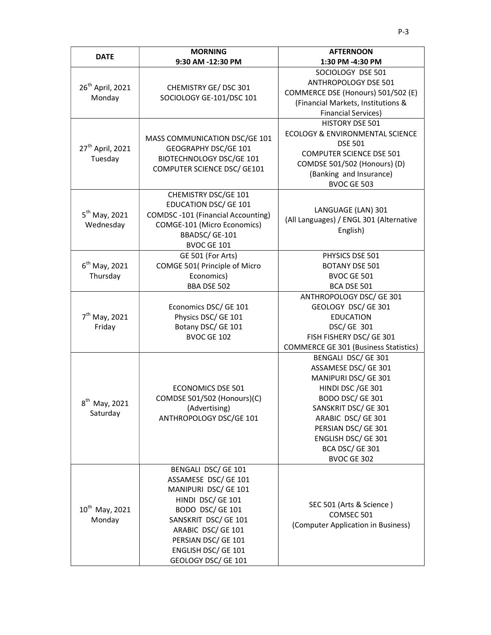|                                                                                   | <b>MORNING</b>                                                                                                                                                                                                                  | <b>AFTERNOON</b>                                                                                                                                                                                                                                                                                                                                |
|-----------------------------------------------------------------------------------|---------------------------------------------------------------------------------------------------------------------------------------------------------------------------------------------------------------------------------|-------------------------------------------------------------------------------------------------------------------------------------------------------------------------------------------------------------------------------------------------------------------------------------------------------------------------------------------------|
| <b>DATE</b>                                                                       | 9:30 AM -12:30 PM                                                                                                                                                                                                               | 1:30 PM -4:30 PM                                                                                                                                                                                                                                                                                                                                |
| 26 <sup>th</sup> April, 2021<br>Monday<br>27 <sup>th</sup> April, 2021<br>Tuesday | CHEMISTRY GE/DSC 301<br>SOCIOLOGY GE-101/DSC 101<br>MASS COMMUNICATION DSC/GE 101<br>GEOGRAPHY DSC/GE 101<br>BIOTECHNOLOGY DSC/GE 101<br>COMPUTER SCIENCE DSC/ GE101                                                            | SOCIOLOGY DSE 501<br>ANTHROPOLOGY DSE 501<br>COMMERCE DSE (Honours) 501/502 (E)<br>(Financial Markets, Institutions &<br><b>Financial Services)</b><br><b>HISTORY DSE 501</b><br>ECOLOGY & ENVIRONMENTAL SCIENCE<br><b>DSE 501</b><br><b>COMPUTER SCIENCE DSE 501</b><br>COMDSE 501/502 (Honours) (D)<br>(Banking and Insurance)<br>BVOC GE 503 |
| $5th$ May, 2021<br>Wednesday                                                      | CHEMISTRY DSC/GE 101<br><b>EDUCATION DSC/ GE 101</b><br><b>COMDSC-101 (Financial Accounting)</b><br>COMGE-101 (Micro Economics)<br>BBADSC/GE-101<br>BVOC GE 101                                                                 | LANGUAGE (LAN) 301<br>(All Languages) / ENGL 301 (Alternative<br>English)                                                                                                                                                                                                                                                                       |
| $6th$ May, 2021<br>Thursday                                                       | GE 501 (For Arts)<br>COMGE 501( Principle of Micro<br>Economics)<br>BBA DSE 502                                                                                                                                                 | PHYSICS DSE 501<br><b>BOTANY DSE 501</b><br>BVOC GE 501<br>BCA DSE 501                                                                                                                                                                                                                                                                          |
| $7th$ May, 2021<br>Friday                                                         | Economics DSC/ GE 101<br>Physics DSC/ GE 101<br>Botany DSC/ GE 101<br>BVOC GE 102                                                                                                                                               | ANTHROPOLOGY DSC/ GE 301<br>GEOLOGY DSC/ GE 301<br><b>EDUCATION</b><br>DSC/ GE 301<br>FISH FISHERY DSC/ GE 301<br><b>COMMERCE GE 301 (Business Statistics)</b>                                                                                                                                                                                  |
| 8 <sup>th</sup> May, 2021<br>Saturday                                             | <b>ECONOMICS DSE 501</b><br>COMDSE 501/502 (Honours)(C)<br>(Advertising)<br>ANTHROPOLOGY DSC/GE 101                                                                                                                             | BENGALI DSC/ GE 301<br>ASSAMESE DSC/ GE 301<br>MANIPURI DSC/ GE 301<br>HINDI DSC / GE 301<br>BODO DSC/ GE 301<br>SANSKRIT DSC/ GE 301<br>ARABIC DSC/ GE 301<br>PERSIAN DSC/ GE 301<br>ENGLISH DSC/ GE 301<br>BCA DSC/GE 301<br>BVOC GE 302                                                                                                      |
| $10^{th}$ May, 2021<br>Monday                                                     | BENGALI DSC/ GE 101<br>ASSAMESE DSC/ GE 101<br>MANIPURI DSC/ GE 101<br>HINDI DSC/ GE 101<br>BODO DSC/ GE 101<br>SANSKRIT DSC/ GE 101<br>ARABIC DSC/ GE 101<br>PERSIAN DSC/ GE 101<br>ENGLISH DSC/ GE 101<br>GEOLOGY DSC/ GE 101 | SEC 501 (Arts & Science)<br>COMSEC 501<br>(Computer Application in Business)                                                                                                                                                                                                                                                                    |